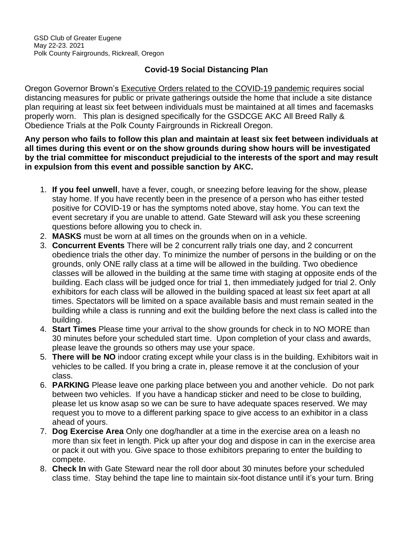## **Covid-19 Social Distancing Plan**

Oregon Governor Brown's Executive Orders related to the COVID-19 pandemic requires social distancing measures for public or private gatherings outside the home that include a site distance plan requiring at least six feet between individuals must be maintained at all times and facemasks properly worn. This plan is designed specifically for the GSDCGE AKC All Breed Rally & Obedience Trials at the Polk County Fairgrounds in Rickreall Oregon.

**Any person who fails to follow this plan and maintain at least six feet between individuals at all times during this event or on the show grounds during show hours will be investigated by the trial committee for misconduct prejudicial to the interests of the sport and may result in expulsion from this event and possible sanction by AKC.**

- 1. **If you feel unwell**, have a fever, cough, or sneezing before leaving for the show, please stay home. If you have recently been in the presence of a person who has either tested positive for COVID-19 or has the symptoms noted above, stay home. You can text the event secretary if you are unable to attend. Gate Steward will ask you these screening questions before allowing you to check in.
- 2. **MASKS** must be worn at all times on the grounds when on in a vehicle.
- 3. **Concurrent Events** There will be 2 concurrent rally trials one day, and 2 concurrent obedience trials the other day. To minimize the number of persons in the building or on the grounds, only ONE rally class at a time will be allowed in the building. Two obedience classes will be allowed in the building at the same time with staging at opposite ends of the building. Each class will be judged once for trial 1, then immediately judged for trial 2. Only exhibitors for each class will be allowed in the building spaced at least six feet apart at all times. Spectators will be limited on a space available basis and must remain seated in the building while a class is running and exit the building before the next class is called into the building.
- 4. **Start Times** Please time your arrival to the show grounds for check in to NO MORE than 30 minutes before your scheduled start time. Upon completion of your class and awards, please leave the grounds so others may use your space.
- 5. **There will be NO** indoor crating except while your class is in the building. Exhibitors wait in vehicles to be called. If you bring a crate in, please remove it at the conclusion of your class.
- 6. **PARKING** Please leave one parking place between you and another vehicle. Do not park between two vehicles. If you have a handicap sticker and need to be close to building, please let us know asap so we can be sure to have adequate spaces reserved. We may request you to move to a different parking space to give access to an exhibitor in a class ahead of yours.
- 7. **Dog Exercise Area** Only one dog/handler at a time in the exercise area on a leash no more than six feet in length. Pick up after your dog and dispose in can in the exercise area or pack it out with you. Give space to those exhibitors preparing to enter the building to compete.
- 8. **Check In** with Gate Steward near the roll door about 30 minutes before your scheduled class time. Stay behind the tape line to maintain six-foot distance until it's your turn. Bring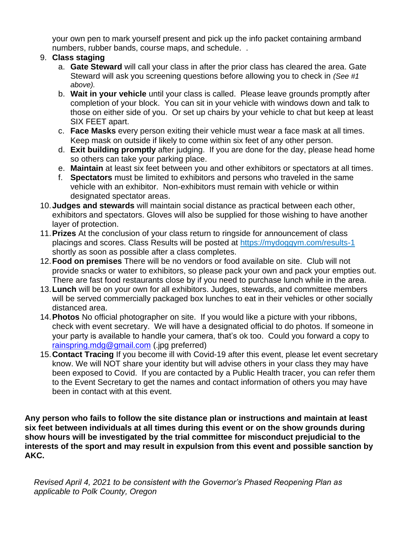your own pen to mark yourself present and pick up the info packet containing armband numbers, rubber bands, course maps, and schedule. .

## 9. **Class staging**

- a. **Gate Steward** will call your class in after the prior class has cleared the area. Gate Steward will ask you screening questions before allowing you to check in *(See #1 above).*
- b. **Wait in your vehicle** until your class is called. Please leave grounds promptly after completion of your block. You can sit in your vehicle with windows down and talk to those on either side of you. Or set up chairs by your vehicle to chat but keep at least SIX FEET apart.
- c. **Face Masks** every person exiting their vehicle must wear a face mask at all times. Keep mask on outside if likely to come within six feet of any other person.
- d. **Exit building promptly** after judging. If you are done for the day, please head home so others can take your parking place.
- e. **Maintain** at least six feet between you and other exhibitors or spectators at all times.
- f. **Spectators** must be limited to exhibitors and persons who traveled in the same vehicle with an exhibitor. Non-exhibitors must remain with vehicle or within designated spectator areas.
- 10.**Judges and stewards** will maintain social distance as practical between each other, exhibitors and spectators. Gloves will also be supplied for those wishing to have another layer of protection.
- 11.**Prizes** At the conclusion of your class return to ringside for announcement of class placings and scores. Class Results will be posted at<https://mydoggym.com/results-1> shortly as soon as possible after a class completes.
- 12.**Food on premises** There will be no vendors or food available on site. Club will not provide snacks or water to exhibitors, so please pack your own and pack your empties out. There are fast food restaurants close by if you need to purchase lunch while in the area.
- 13.**Lunch** will be on your own for all exhibitors. Judges, stewards, and committee members will be served commercially packaged box lunches to eat in their vehicles or other socially distanced area.
- 14.**Photos** No official photographer on site. If you would like a picture with your ribbons, check with event secretary. We will have a designated official to do photos. If someone in your party is available to handle your camera, that's ok too. Could you forward a copy to [rainspring.mdg@gmail.com](mailto:rainspring.mdg@gmail.com) (.jpg preferred)
- 15.**Contact Tracing** If you become ill with Covid-19 after this event, please let event secretary know. We will NOT share your identity but will advise others in your class they may have been exposed to Covid. If you are contacted by a Public Health tracer, you can refer them to the Event Secretary to get the names and contact information of others you may have been in contact with at this event.

**Any person who fails to follow the site distance plan or instructions and maintain at least six feet between individuals at all times during this event or on the show grounds during show hours will be investigated by the trial committee for misconduct prejudicial to the interests of the sport and may result in expulsion from this event and possible sanction by AKC.**

*Revised April 4, 2021 to be consistent with the Governor's Phased Reopening Plan as applicable to Polk County, Oregon*